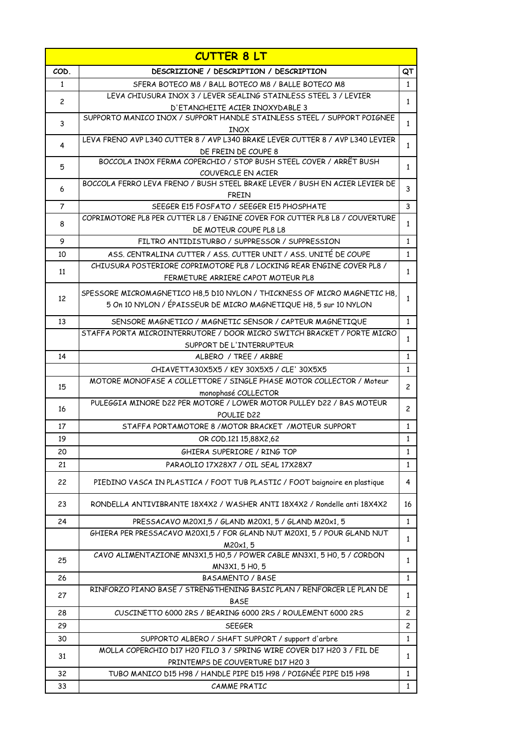|                | <b>CUTTER 8 LT</b>                                                                          |                |
|----------------|---------------------------------------------------------------------------------------------|----------------|
| COD.           | DESCRIZIONE / DESCRIPTION / DESCRIPTION                                                     | QT             |
| 1              | SFERA BOTECO M8 / BALL BOTECO M8 / BALLE BOTECO M8                                          | $\mathbf{1}$   |
|                | LEVA CHIUSURA INOX 3 / LEVER SEALING STAINLESS STEEL 3 / LEVIER                             |                |
| $\overline{c}$ | D'ETANCHEITE ACIER INOXYDABLE 3                                                             | $\mathbf{1}$   |
| 3              | SUPPORTO MANICO INOX / SUPPORT HANDLE STAINLESS STEEL / SUPPORT POIGNEE                     | $\mathbf{1}$   |
| 4              | <b>INOX</b>                                                                                 |                |
|                | LEVA FRENO AVP L340 CUTTER 8 / AVP L340 BRAKE LEVER CUTTER 8 / AVP L340 LEVIER              | $\mathbf{1}$   |
|                | DE FREIN DE COUPE 8<br>BOCCOLA INOX FERMA COPERCHIO / STOP BUSH STEEL COVER / ARRÊT BUSH    |                |
| 5              | COUVERCLE EN ACIER                                                                          | $\mathbf{1}$   |
|                | BOCCOLA FERRO LEVA FRENO / BUSH STEEL BRAKE LEVER / BUSH EN ACIER LEVIER DE                 |                |
| 6              | <b>FREIN</b>                                                                                | 3              |
| 7              | SEEGER E15 FOSFATO / SEEGER E15 PHOSPHATE                                                   | 3              |
|                | COPRIMOTORE PL8 PER CUTTER L8 / ENGINE COVER FOR CUTTER PL8 L8 / COUVERTURE                 |                |
| 8              | DE MOTEUR COUPE PL8 L8                                                                      | $\mathbf{1}$   |
| 9              | FILTRO ANTIDISTURBO / SUPPRESSOR / SUPPRESSION                                              | $\mathbf{1}$   |
| 10             | ASS. CENTRALINA CUTTER / ASS. CUTTER UNIT / ASS. UNITE DE COUPE                             | $\mathbf{1}$   |
|                | CHIUSURA POSTERIORE COPRIMOTORE PL8 / LOCKING REAR ENGINE COVER PL8 /                       |                |
| 11             | FERMETURE ARRIERE CAPOT MOTEUR PL8                                                          | $\mathbf{1}$   |
|                | SPESSORE MICROMAGNETICO H8,5 D10 NYLON / THICKNESS OF MICRO MAGNETIC H8,                    |                |
| 12             | 5 On 10 NYLON / ÉPAISSEUR DE MICRO MAGNETIQUE H8, 5 sur 10 NYLON                            | $\mathbf{1}$   |
|                |                                                                                             |                |
| 13             | SENSORE MAGNETICO / MAGNETIC SENSOR / CAPTEUR MAGNETIQUE                                    | $\mathbf{1}$   |
|                | STAFFA PORTA MICROINTERRUTORE / DOOR MICRO SWITCH BRACKET / PORTE MICRO                     | $\mathbf{1}$   |
|                | SUPPORT DE L'INTERRUPTEUR                                                                   |                |
| 14             | ALBERO / TREE / ARBRE                                                                       | $\mathbf{1}$   |
|                | CHIAVETTA30X5X5 / KEY 30X5X5 / CLE' 30X5X5                                                  | $\mathbf{1}$   |
| 15             | MOTORE MONOFASE A COLLETTORE / SINGLE PHASE MOTOR COLLECTOR / Moteur                        | $\overline{c}$ |
|                | monophasé COLLECTOR<br>PULEGGIA MINORE D22 PER MOTORE / LOWER MOTOR PULLEY D22 / BAS MOTEUR |                |
| 16             | POULIE D22                                                                                  | $\overline{c}$ |
| 17             | STAFFA PORTAMOTORE 8 / MOTOR BRACKET / MOTEUR SUPPORT                                       | $\mathbf{1}$   |
| 19             | OR COD.121 15,88X2,62                                                                       | $\mathbf{1}$   |
|                | GHIERA SUPERIORE / RING TOP                                                                 |                |
| 20             |                                                                                             | $\mathbf{1}$   |
| 21             | PARAOLIO 17X28X7 / OIL SEAL 17X28X7                                                         | $\mathbf{1}$   |
| 22             | PIEDINO VASCA IN PLASTICA / FOOT TUB PLASTIC / FOOT baignoire en plastique                  | 4              |
|                |                                                                                             |                |
| 23             | RONDELLA ANTIVIBRANTE 18X4X2 / WASHER ANTI 18X4X2 / Rondelle anti 18X4X2                    | 16             |
| 24             | PRESSACAVO M20X1,5 / GLAND M20X1, 5 / GLAND M20x1, 5                                        | $\mathbf{1}$   |
|                | GHIERA PER PRESSACAVO M20X1,5 / FOR GLAND NUT M20X1, 5 / POUR GLAND NUT                     |                |
|                | M20x1, 5                                                                                    | $\mathbf{1}$   |
| 25             | CAVO ALIMENTAZIONE MN3X1,5 H0,5 / POWER CABLE MN3X1, 5 H0, 5 / CORDON                       | $\mathbf{1}$   |
|                | MN3X1, 5 HO, 5                                                                              |                |
| 26             | <b>BASAMENTO / BASE</b>                                                                     | $\mathbf{1}$   |
| 27             | RINFORZO PIANO BASE / STRENGTHENING BASIC PLAN / RENFORCER LE PLAN DE                       | $\mathbf{1}$   |
|                | <b>BASE</b>                                                                                 |                |
| 28             | CUSCINETTO 6000 2RS / BEARING 6000 2RS / ROULEMENT 6000 2RS                                 | $\overline{c}$ |
| 29             | <b>SEEGER</b>                                                                               | $\mathbf{2}$   |
| 30             | SUPPORTO ALBERO / SHAFT SUPPORT / support d'arbre                                           | $\mathbf{1}$   |
| 31             | MOLLA COPERCHIO D17 H20 FILO 3 / SPRING WIRE COVER D17 H20 3 / FIL DE                       | $\mathbf{1}$   |
|                | PRINTEMPS DE COUVERTURE D17 H20 3                                                           |                |
| 32             | TUBO MANICO D15 H98 / HANDLE PIPE D15 H98 / POIGNÉE PIPE D15 H98                            | $\mathbf{1}$   |
| 33             | CAMME PRATIC                                                                                | $\mathbf{1}$   |